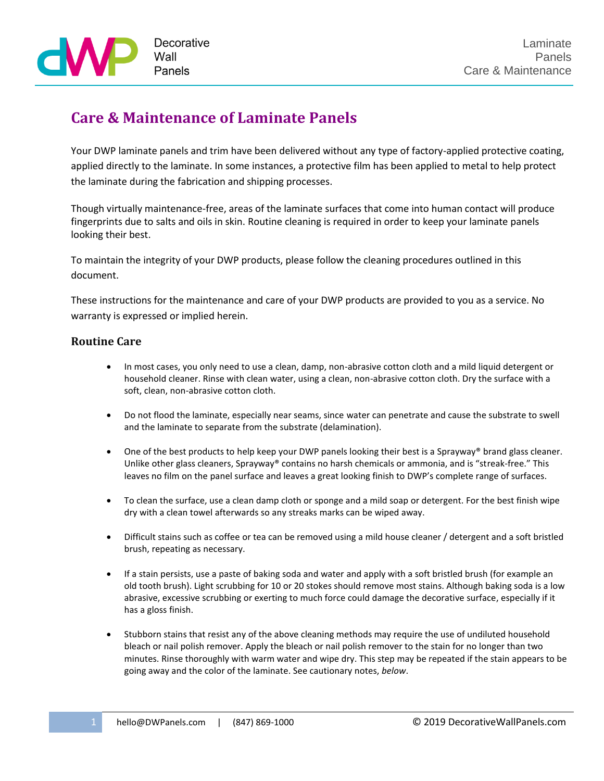

## **Care & Maintenance of Laminate Panels**

Your DWP laminate panels and trim have been delivered without any type of factory-applied protective coating, applied directly to the laminate. In some instances, a protective film has been applied to metal to help protect the laminate during the fabrication and shipping processes.

Though virtually maintenance-free, areas of the laminate surfaces that come into human contact will produce fingerprints due to salts and oils in skin. Routine cleaning is required in order to keep your laminate panels looking their best.

To maintain the integrity of your DWP products, please follow the cleaning procedures outlined in this document.

These instructions for the maintenance and care of your DWP products are provided to you as a service. No warranty is expressed or implied herein.

## **Routine Care**

- In most cases, you only need to use a clean, damp, non-abrasive cotton cloth and a mild liquid detergent or household cleaner. Rinse with clean water, using a clean, non-abrasive cotton cloth. Dry the surface with a soft, clean, non-abrasive cotton cloth.
- Do not flood the laminate, especially near seams, since water can penetrate and cause the substrate to swell and the laminate to separate from the substrate (delamination).
- One of the best products to help keep your DWP panels looking their best is a Sprayway® brand glass cleaner. Unlike other glass cleaners, Sprayway® contains no harsh chemicals or ammonia, and is "streak-free." This leaves no film on the panel surface and leaves a great looking finish to DWP's complete range of surfaces.
- To clean the surface, use a clean damp cloth or sponge and a mild soap or detergent. For the best finish wipe dry with a clean towel afterwards so any streaks marks can be wiped away.
- Difficult stains such as coffee or tea can be removed using a mild house cleaner / detergent and a soft bristled brush, repeating as necessary.
- If a stain persists, use a paste of baking soda and water and apply with a soft bristled brush (for example an old tooth brush). Light scrubbing for 10 or 20 stokes should remove most stains. Although baking soda is a low abrasive, excessive scrubbing or exerting to much force could damage the decorative surface, especially if it has a gloss finish.
- Stubborn stains that resist any of the above cleaning methods may require the use of undiluted household bleach or nail polish remover. Apply the bleach or nail polish remover to the stain for no longer than two minutes. Rinse thoroughly with warm water and wipe dry. This step may be repeated if the stain appears to be going away and the color of the laminate. See cautionary notes, *below*.